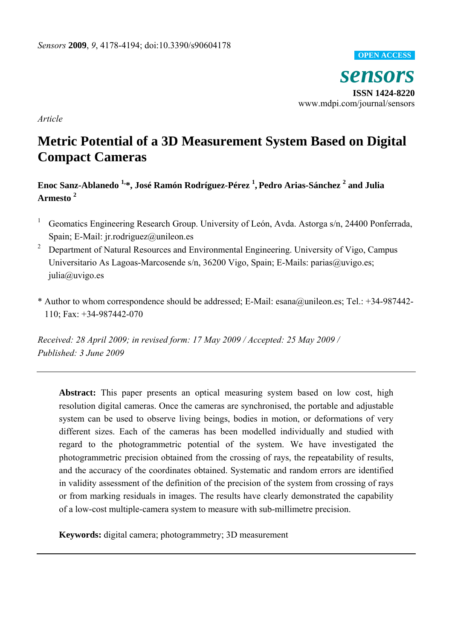

*Article* 

# **Metric Potential of a 3D Measurement System Based on Digital Compact Cameras**

**Enoc Sanz-Ablanedo 1,\*, José Ramón Rodríguez-Pérez 1 , Pedro Arias-Sánchez 2 and Julia Armesto <sup>2</sup>**

- 1 Geomatics Engineering Research Group. University of León, Avda. Astorga s/n, 24400 Ponferrada, Spain; E-Mail: jr.rodriguez@unileon.es
- 2 Department of Natural Resources and Environmental Engineering. University of Vigo, Campus Universitario As Lagoas-Marcosende s/n, 36200 Vigo, Spain; E-Mails: parias@uvigo.es; julia@uvigo.es
- \* Author to whom correspondence should be addressed; E-Mail: esana@unileon.es; Tel.: +34-987442- 110; Fax: +34-987442-070

*Received: 28 April 2009; in revised form: 17 May 2009 / Accepted: 25 May 2009 / Published: 3 June 2009* 

**Abstract:** This paper presents an optical measuring system based on low cost, high resolution digital cameras. Once the cameras are synchronised, the portable and adjustable system can be used to observe living beings, bodies in motion, or deformations of very different sizes. Each of the cameras has been modelled individually and studied with regard to the photogrammetric potential of the system. We have investigated the photogrammetric precision obtained from the crossing of rays, the repeatability of results, and the accuracy of the coordinates obtained. Systematic and random errors are identified in validity assessment of the definition of the precision of the system from crossing of rays or from marking residuals in images. The results have clearly demonstrated the capability of a low-cost multiple-camera system to measure with sub-millimetre precision.

**Keywords:** digital camera; photogrammetry; 3D measurement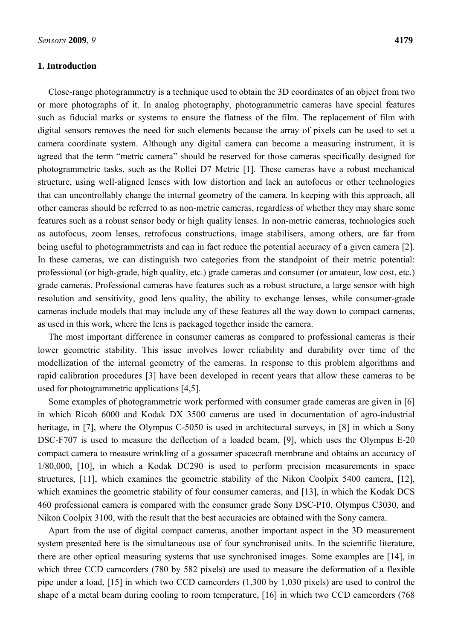# **1. Introduction**

Close-range photogrammetry is a technique used to obtain the 3D coordinates of an object from two or more photographs of it. In analog photography, photogrammetric cameras have special features such as fiducial marks or systems to ensure the flatness of the film. The replacement of film with digital sensors removes the need for such elements because the array of pixels can be used to set a camera coordinate system. Although any digital camera can become a measuring instrument, it is agreed that the term "metric camera" should be reserved for those cameras specifically designed for photogrammetric tasks, such as the Rollei D7 Metric [1]. These cameras have a robust mechanical structure, using well-aligned lenses with low distortion and lack an autofocus or other technologies that can uncontrollably change the internal geometry of the camera. In keeping with this approach, all other cameras should be referred to as non-metric cameras, regardless of whether they may share some features such as a robust sensor body or high quality lenses. In non-metric cameras, technologies such as autofocus, zoom lenses, retrofocus constructions, image stabilisers, among others, are far from being useful to photogrammetrists and can in fact reduce the potential accuracy of a given camera [2]. In these cameras, we can distinguish two categories from the standpoint of their metric potential: professional (or high-grade, high quality, etc.) grade cameras and consumer (or amateur, low cost, etc.) grade cameras. Professional cameras have features such as a robust structure, a large sensor with high resolution and sensitivity, good lens quality, the ability to exchange lenses, while consumer-grade cameras include models that may include any of these features all the way down to compact cameras, as used in this work, where the lens is packaged together inside the camera.

The most important difference in consumer cameras as compared to professional cameras is their lower geometric stability. This issue involves lower reliability and durability over time of the modellization of the internal geometry of the cameras. In response to this problem algorithms and rapid calibration procedures [3] have been developed in recent years that allow these cameras to be used for photogrammetric applications [4,5].

Some examples of photogrammetric work performed with consumer grade cameras are given in [6] in which Ricoh 6000 and Kodak DX 3500 cameras are used in documentation of agro-industrial heritage, in [7], where the Olympus C-5050 is used in architectural surveys, in [8] in which a Sony DSC-F707 is used to measure the deflection of a loaded beam, [9], which uses the Olympus E-20 compact camera to measure wrinkling of a gossamer spacecraft membrane and obtains an accuracy of 1/80,000, [10], in which a Kodak DC290 is used to perform precision measurements in space structures, [11], which examines the geometric stability of the Nikon Coolpix 5400 camera, [12], which examines the geometric stability of four consumer cameras, and [13], in which the Kodak DCS 460 professional camera is compared with the consumer grade Sony DSC-P10, Olympus C3030, and Nikon Coolpix 3100, with the result that the best accuracies are obtained with the Sony camera.

Apart from the use of digital compact cameras, another important aspect in the 3D measurement system presented here is the simultaneous use of four synchronised units. In the scientific literature, there are other optical measuring systems that use synchronised images. Some examples are [14], in which three CCD camcorders (780 by 582 pixels) are used to measure the deformation of a flexible pipe under a load, [15] in which two CCD camcorders (1,300 by 1,030 pixels) are used to control the shape of a metal beam during cooling to room temperature, [16] in which two CCD camcorders (768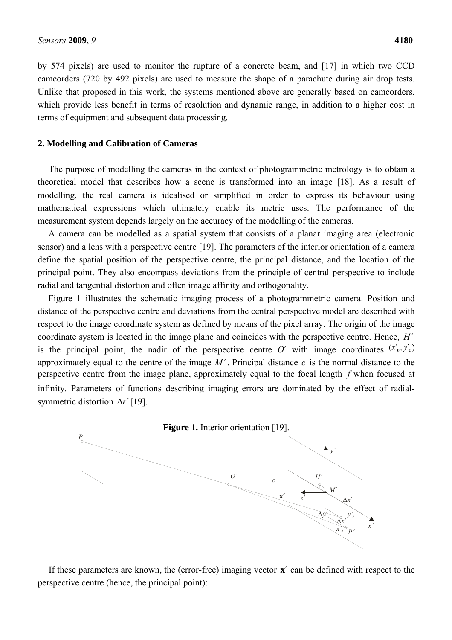by 574 pixels) are used to monitor the rupture of a concrete beam, and [17] in which two CCD camcorders (720 by 492 pixels) are used to measure the shape of a parachute during air drop tests. Unlike that proposed in this work, the systems mentioned above are generally based on camcorders, which provide less benefit in terms of resolution and dynamic range, in addition to a higher cost in terms of equipment and subsequent data processing.

## **2. Modelling and Calibration of Cameras**

The purpose of modelling the cameras in the context of photogrammetric metrology is to obtain a theoretical model that describes how a scene is transformed into an image [18]. As a result of modelling, the real camera is idealised or simplified in order to express its behaviour using mathematical expressions which ultimately enable its metric uses. The performance of the measurement system depends largely on the accuracy of the modelling of the cameras.

A camera can be modelled as a spatial system that consists of a planar imaging area (electronic sensor) and a lens with a perspective centre [19]. The parameters of the interior orientation of a camera define the spatial position of the perspective centre, the principal distance, and the location of the principal point. They also encompass deviations from the principle of central perspective to include radial and tangential distortion and often image affinity and orthogonality.

Figure 1 illustrates the schematic imaging process of a photogrammetric camera. Position and distance of the perspective centre and deviations from the central perspective model are described with respect to the image coordinate system as defined by means of the pixel array. The origin of the image coordinate system is located in the image plane and coincides with the perspective centre. Hence, *H*´ is the principal point, the nadir of the perspective centre  $O'$  with image coordinates  $(x_0, y_0)$ approximately equal to the centre of the image *M*´. Principal distance *c* is the normal distance to the perspective centre from the image plane, approximately equal to the focal length *f* when focused at infinity. Parameters of functions describing imaging errors are dominated by the effect of radialsymmetric distortion  $\Delta r'$  [19].



If these parameters are known, the (error-free) imaging vector **x**´ can be defined with respect to the perspective centre (hence, the principal point):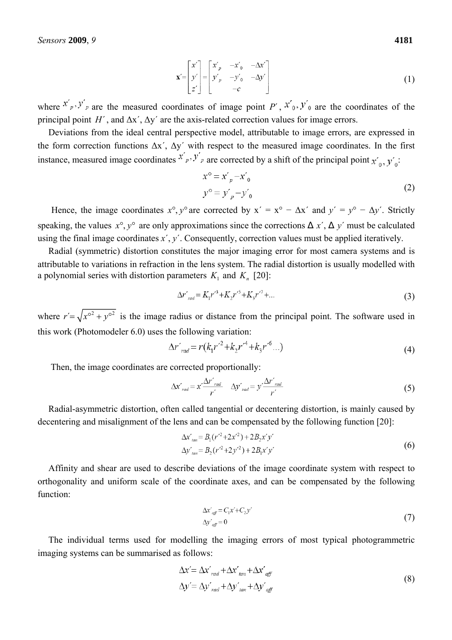$$
\mathbf{x}' = \begin{bmatrix} x' \\ y' \\ z' \end{bmatrix} = \begin{bmatrix} x'_{p} & -x'_{0} & -\Delta x' \\ y'_{p} & -y'_{0} & -\Delta y' \\ -c & \end{bmatrix}
$$
 (1)

where  $x'_{p}$ ,  $y'_{p}$  are the measured coordinates of image point P',  $x'_{p}$ ,  $y'_{p}$  are the coordinates of the principal point  $H'$ , and  $\Delta x'$ ,  $\Delta y'$  are the axis-related correction values for image errors.

Deviations from the ideal central perspective model, attributable to image errors, are expressed in the form correction functions  $\Delta x'$ ,  $\Delta y'$  with respect to the measured image coordinates. In the first instance, measured image coordinates  $x'_{p}$ ,  $y'_{p}$  are corrected by a shift of the principal point  $x'_{0}$ ,  $y'_{0}$ :

$$
x^{\circ} = x'_{p} - x'_{0}
$$
  
\n
$$
y^{\circ} = y'_{p} - y'_{0}
$$
\n(2)

Hence, the image coordinates  $x^\circ, y^\circ$  are corrected by  $x' = x^\circ - \Delta x'$  and  $y' = y^\circ - \Delta y'$ . Strictly speaking, the values  $x^{\circ}$ ,  $y^{\circ}$  are only approximations since the corrections  $\Delta x'$ ,  $\Delta y'$  must be calculated using the final image coordinates *x*´, *y*´. Consequently, correction values must be applied iteratively.

Radial (symmetric) distortion constitutes the major imaging error for most camera systems and is attributable to variations in refraction in the lens system. The radial distortion is usually modelled with a polynomial series with distortion parameters  $K_1$  and  $K_n$  [20]:

$$
\Delta r'_{rad} = K_1 r'^3 + K_2 r'^5 + K_3 r'^7 + \dots \tag{3}
$$

where  $r' = \sqrt{x^{2} + y^{2}}$  is the image radius or distance from the principal point. The software used in this work (Photomodeler 6.0) uses the following variation:

$$
\Delta r'_{rad} = r(k_1 r'^2 + k_2 r'^4 + k_3 r'^6...)
$$
\n(4)

Then, the image coordinates are corrected proportionally:

$$
\Delta x'_{rad} = x' \frac{\Delta r'_{rad}}{r'} \quad \Delta y'_{rad} = y' \frac{\Delta r'_{rad}}{r'} \tag{5}
$$

Radial-asymmetric distortion, often called tangential or decentering distortion, is mainly caused by decentering and misalignment of the lens and can be compensated by the following function [20]:

$$
\Delta x'_{tan} = B_1 (r'^2 + 2x'^2) + 2B_2 x' y'
$$
  
\n
$$
\Delta y'_{tan} = B_2 (r'^2 + 2y'^2) + 2B_1 x' y'
$$
\n(6)

Affinity and shear are used to describe deviations of the image coordinate system with respect to orthogonality and uniform scale of the coordinate axes, and can be compensated by the following function:

$$
\Delta x'_{\text{aff}} = C_1 x' + C_2 y'
$$
  
\n
$$
\Delta y'_{\text{aff}} = 0
$$
\n(7)

The individual terms used for modelling the imaging errors of most typical photogrammetric imaging systems can be summarised as follows:

$$
\Delta x' = \Delta x'_{rad} + \Delta x'_{tan} + \Delta x'_{aff}
$$
  
\n
$$
\Delta y' = \Delta y'_{rad} + \Delta y'_{tan} + \Delta y'_{aff}
$$
\n(8)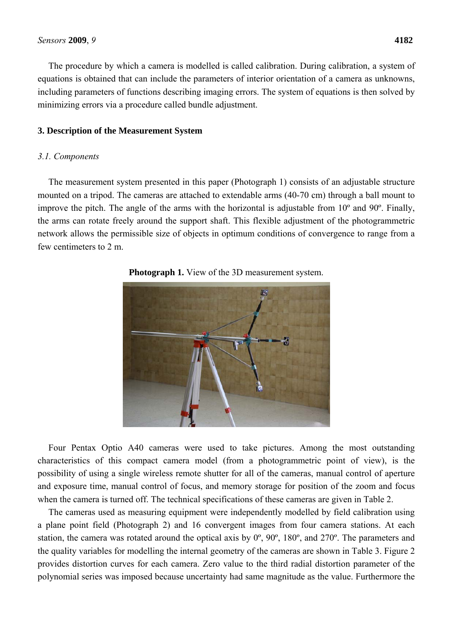The procedure by which a camera is modelled is called calibration. During calibration, a system of equations is obtained that can include the parameters of interior orientation of a camera as unknowns, including parameters of functions describing imaging errors. The system of equations is then solved by minimizing errors via a procedure called bundle adjustment.

# **3. Description of the Measurement System**

## *3.1. Components*

The measurement system presented in this paper (Photograph 1) consists of an adjustable structure mounted on a tripod. The cameras are attached to extendable arms (40-70 cm) through a ball mount to improve the pitch. The angle of the arms with the horizontal is adjustable from 10º and 90º. Finally, the arms can rotate freely around the support shaft. This flexible adjustment of the photogrammetric network allows the permissible size of objects in optimum conditions of convergence to range from a few centimeters to 2 m.



#### **Photograph 1.** View of the 3D measurement system.

Four Pentax Optio A40 cameras were used to take pictures. Among the most outstanding characteristics of this compact camera model (from a photogrammetric point of view), is the possibility of using a single wireless remote shutter for all of the cameras, manual control of aperture and exposure time, manual control of focus, and memory storage for position of the zoom and focus when the camera is turned off. The technical specifications of these cameras are given in Table 2.

The cameras used as measuring equipment were independently modelled by field calibration using a plane point field (Photograph 2) and 16 convergent images from four camera stations. At each station, the camera was rotated around the optical axis by 0º, 90º, 180º, and 270º. The parameters and the quality variables for modelling the internal geometry of the cameras are shown in Table 3. Figure 2 provides distortion curves for each camera. Zero value to the third radial distortion parameter of the polynomial series was imposed because uncertainty had same magnitude as the value. Furthermore the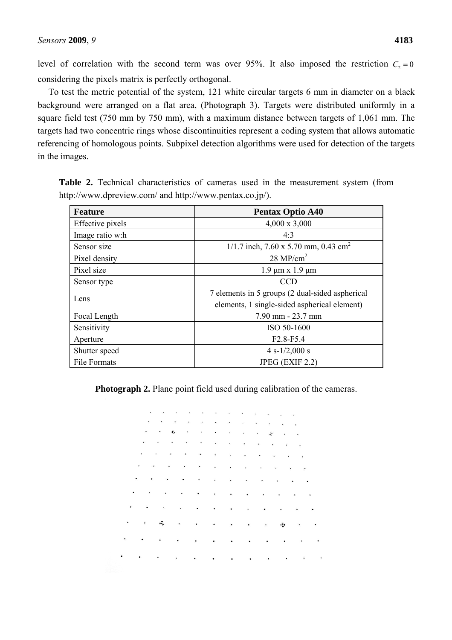level of correlation with the second term was over 95%. It also imposed the restriction  $C_2 = 0$ considering the pixels matrix is perfectly orthogonal.

To test the metric potential of the system, 121 white circular targets 6 mm in diameter on a black background were arranged on a flat area, (Photograph 3). Targets were distributed uniformly in a square field test (750 mm by 750 mm), with a maximum distance between targets of 1,061 mm. The targets had two concentric rings whose discontinuities represent a coding system that allows automatic referencing of homologous points. Subpixel detection algorithms were used for detection of the targets in the images.

**Table 2.** Technical characteristics of cameras used in the measurement system (from http://www.dpreview.com/ and http://www.pentax.co.jp/).

| <b>Feature</b>      | <b>Pentax Optio A40</b>                            |  |  |  |
|---------------------|----------------------------------------------------|--|--|--|
| Effective pixels    | $4,000 \times 3,000$                               |  |  |  |
| Image ratio w:h     | 4:3                                                |  |  |  |
| Sensor size         | $1/1.7$ inch, 7.60 x 5.70 mm, 0.43 cm <sup>2</sup> |  |  |  |
| Pixel density       | $28 \text{ MP/cm}^2$                               |  |  |  |
| Pixel size          | $1.9 \mu m \times 1.9 \mu m$                       |  |  |  |
| Sensor type         | <b>CCD</b>                                         |  |  |  |
| Lens                | 7 elements in 5 groups (2 dual-sided aspherical    |  |  |  |
|                     | elements, 1 single-sided aspherical element)       |  |  |  |
| Focal Length        | $7.90$ mm $-23.7$ mm                               |  |  |  |
| Sensitivity         | ISO 50-1600                                        |  |  |  |
| Aperture            | F <sub>2.8</sub> -F <sub>5.4</sub>                 |  |  |  |
| Shutter speed       | 4 s- $1/2,000$ s                                   |  |  |  |
| <b>File Formats</b> | JPEG (EXIF 2.2)                                    |  |  |  |

**Photograph 2.** Plane point field used during calibration of the cameras.

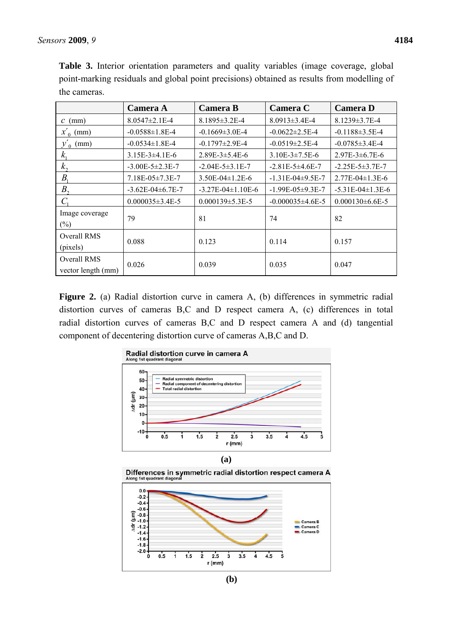|                          | <b>Camera A</b>            | <b>Camera B</b>                                      | Camera C                   | <b>Camera D</b>            |  |
|--------------------------|----------------------------|------------------------------------------------------|----------------------------|----------------------------|--|
| (mm)<br>$\mathcal{C}$    | $8.0547 \pm 2.1E - 4$      | $8.1895 \pm 3.2E - 4$                                | $8.0913 \pm 3.4E - 4$      | $8.1239 \pm 3.7E - 4$      |  |
| (mm)<br>x                | $-0.0588 \pm 1.8E - 4$     | $-0.1669 \pm 3.0E - 4$                               | $-0.0622 \pm 2.5E - 4$     | $-0.1188 \pm 3.5E - 4$     |  |
| (mm)                     | $-0.0534 \pm 1.8E - 4$     | $-0.1797 \pm 2.9E - 4$                               | $-0.0519 \pm 2.5E - 4$     | $-0.0785 \pm 3.4E - 4$     |  |
| k.                       | $3.15E-3\pm4.1E-6$         | $2.89E - 3 \pm 5.4E - 6$<br>$3.10E - 3 \pm 7.5E - 6$ |                            | $2.97E - 3 \pm 6.7E - 6$   |  |
| $k_{\gamma}$             | $-3.00E - 5 \pm 2.3E - 7$  | $-2.04E - 5 \pm 3.1E - 7$                            | $-2.81E-5\pm4.6E-7$        | $-2.25E - 5 \pm 3.7E - 7$  |  |
| $B_{1}$                  | $7.18E - 05 \pm 7.3E - 7$  | $3.50E-04\pm1.2E-6$                                  | $-1.31E - 04 \pm 9.5E - 7$ | $2.77E - 04 \pm 1.3E - 6$  |  |
| $B_{\gamma}$             | $-3.62E - 04 \pm 6.7E - 7$ | $-3.27E - 04 \pm 1.10E - 6$                          | $-1.99E - 05 \pm 9.3E - 7$ | $-5.31E - 04 \pm 1.3E - 6$ |  |
| $\overline{\mathcal{C}}$ | $0.000035 \pm 3.4E - 5$    | $0.000139 \pm 5.3E - 5$                              | $-0.000035\pm4.6E-5$       | $0.000130 \pm 6.6E - 5$    |  |
| Image coverage           |                            |                                                      |                            | 82                         |  |
| $(\%)$                   | 79                         | 81                                                   | 74                         |                            |  |
| Overall RMS              |                            |                                                      |                            | 0.157                      |  |
| (pixels)                 | 0.088                      | 0.123                                                | 0.114                      |                            |  |
| Overall RMS              |                            |                                                      |                            | 0.047                      |  |
| vector length (mm)       | 0.026                      | 0.039                                                | 0.035                      |                            |  |

**Table 3.** Interior orientation parameters and quality variables (image coverage, global point-marking residuals and global point precisions) obtained as results from modelling of the cameras.

Figure 2. (a) Radial distortion curve in camera A, (b) differences in symmetric radial distortion curves of cameras B,C and D respect camera A, (c) differences in total radial distortion curves of cameras B,C and D respect camera A and (d) tangential component of decentering distortion curve of cameras A,B,C and D.





Differences in symmetric radial distortion respect camera A Along 1st quadrant diagonal

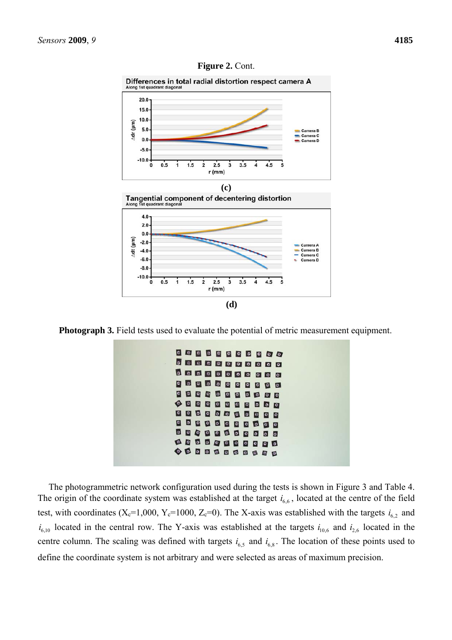





**Photograph 3.** Field tests used to evaluate the potential of metric measurement equipment.



The photogrammetric network configuration used during the tests is shown in Figure 3 and Table 4. The origin of the coordinate system was established at the target  $i_{6,6}$ , located at the centre of the field test, with coordinates (X<sub>c</sub>=1,000, Y<sub>c</sub>=1000, Z<sub>c</sub>=0). The X-axis was established with the targets  $i_{6,2}$  and  $i_{6,10}$  located in the central row. The Y-axis was established at the targets  $i_{10,6}$  and  $i_{2,6}$  located in the centre column. The scaling was defined with targets  $i_{6,5}$  and  $i_{6,8}$ . The location of these points used to define the coordinate system is not arbitrary and were selected as areas of maximum precision.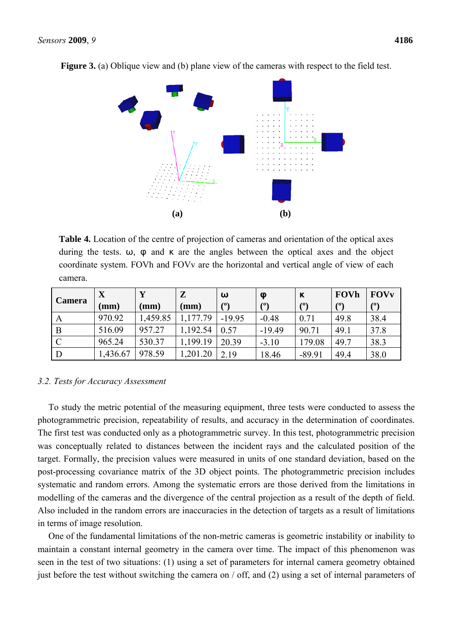

**Figure 3.** (a) Oblique view and (b) plane view of the cameras with respect to the field test.

**Table 4.** Location of the centre of projection of cameras and orientation of the optical axes during the tests.  $\omega$ ,  $\varphi$  and  $\kappa$  are the angles between the optical axes and the object coordinate system. FOVh and FOVv are the horizontal and vertical angle of view of each camera.

| Camera        | X        |          | Z               | ω        | Φ             | К        | <b>FOVh</b>                | <b>FOVv</b>  |
|---------------|----------|----------|-----------------|----------|---------------|----------|----------------------------|--------------|
|               | (mm)     | (mm)     | $(\mathbf{mm})$ | (0)      | $\mathcal{O}$ | (°)      | $\mathcal{L}^{\mathbf{0}}$ | $^{\rm (0)}$ |
| A             | 970.92   | 1,459.85 | 1,177.79        | $-19.95$ | $-0.48$       | 0.71     | 49.8                       | 38.4         |
| B             | 516.09   | 957.27   | 1,192.54        | 0.57     | $-19.49$      | 90.71    | 49.1                       | 37.8         |
| $\mathcal{C}$ | 965.24   | 530.37   | 1,199.19        | 20.39    | $-3.10$       | 179.08   | 49.7                       | 38.3         |
|               | 1,436.67 | 978.59   | 1,201.20        | 2.19     | 18.46         | $-89.91$ | 49.4                       | 38.0         |

#### *3.2. Tests for Accuracy Assessment*

To study the metric potential of the measuring equipment, three tests were conducted to assess the photogrammetric precision, repeatability of results, and accuracy in the determination of coordinates. The first test was conducted only as a photogrammetric survey. In this test, photogrammetric precision was conceptually related to distances between the incident rays and the calculated position of the target. Formally, the precision values were measured in units of one standard deviation, based on the post-processing covariance matrix of the 3D object points. The photogrammetric precision includes systematic and random errors. Among the systematic errors are those derived from the limitations in modelling of the cameras and the divergence of the central projection as a result of the depth of field. Also included in the random errors are inaccuracies in the detection of targets as a result of limitations in terms of image resolution.

One of the fundamental limitations of the non-metric cameras is geometric instability or inability to maintain a constant internal geometry in the camera over time. The impact of this phenomenon was seen in the test of two situations: (1) using a set of parameters for internal camera geometry obtained just before the test without switching the camera on / off, and (2) using a set of internal parameters of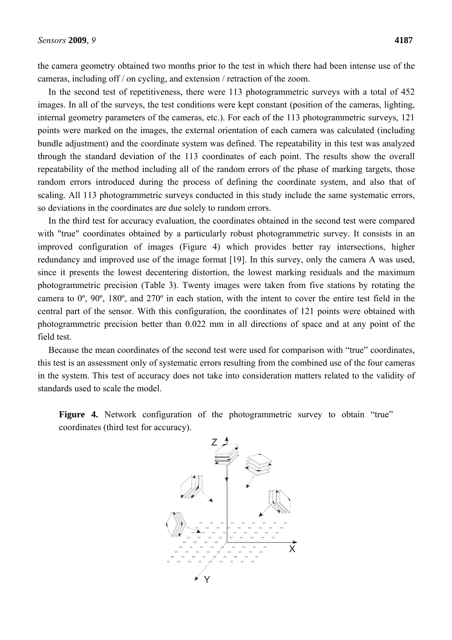the camera geometry obtained two months prior to the test in which there had been intense use of the cameras, including off / on cycling, and extension / retraction of the zoom.

In the second test of repetitiveness, there were 113 photogrammetric surveys with a total of 452 images. In all of the surveys, the test conditions were kept constant (position of the cameras, lighting, internal geometry parameters of the cameras, etc.). For each of the 113 photogrammetric surveys, 121 points were marked on the images, the external orientation of each camera was calculated (including bundle adjustment) and the coordinate system was defined. The repeatability in this test was analyzed through the standard deviation of the 113 coordinates of each point. The results show the overall repeatability of the method including all of the random errors of the phase of marking targets, those random errors introduced during the process of defining the coordinate system, and also that of scaling. All 113 photogrammetric surveys conducted in this study include the same systematic errors, so deviations in the coordinates are due solely to random errors.

In the third test for accuracy evaluation, the coordinates obtained in the second test were compared with "true" coordinates obtained by a particularly robust photogrammetric survey. It consists in an improved configuration of images (Figure 4) which provides better ray intersections, higher redundancy and improved use of the image format [19]. In this survey, only the camera A was used, since it presents the lowest decentering distortion, the lowest marking residuals and the maximum photogrammetric precision (Table 3). Twenty images were taken from five stations by rotating the camera to 0º, 90º, 180º, and 270º in each station, with the intent to cover the entire test field in the central part of the sensor. With this configuration, the coordinates of 121 points were obtained with photogrammetric precision better than 0.022 mm in all directions of space and at any point of the field test.

Because the mean coordinates of the second test were used for comparison with "true" coordinates, this test is an assessment only of systematic errors resulting from the combined use of the four cameras in the system. This test of accuracy does not take into consideration matters related to the validity of standards used to scale the model.

Figure 4. Network configuration of the photogrammetric survey to obtain "true" coordinates (third test for accuracy).

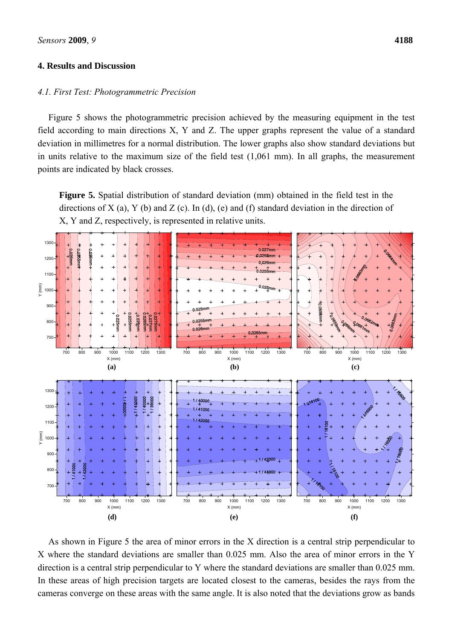#### **4. Results and Discussion**

#### *4.1. First Test: Photogrammetric Precision*

Figure 5 shows the photogrammetric precision achieved by the measuring equipment in the test field according to main directions X, Y and Z. The upper graphs represent the value of a standard deviation in millimetres for a normal distribution. The lower graphs also show standard deviations but in units relative to the maximum size of the field test (1,061 mm). In all graphs, the measurement points are indicated by black crosses.

**Figure 5.** Spatial distribution of standard deviation (mm) obtained in the field test in the directions of X (a), Y (b) and Z (c). In (d), (e) and (f) standard deviation in the direction of X, Y and Z, respectively, is represented in relative units.



As shown in Figure 5 the area of minor errors in the X direction is a central strip perpendicular to X where the standard deviations are smaller than 0.025 mm. Also the area of minor errors in the Y direction is a central strip perpendicular to Y where the standard deviations are smaller than 0.025 mm. In these areas of high precision targets are located closest to the cameras, besides the rays from the cameras converge on these areas with the same angle. It is also noted that the deviations grow as bands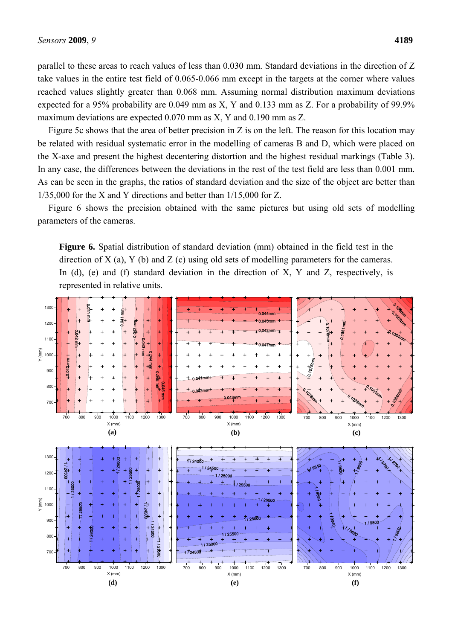parallel to these areas to reach values of less than 0.030 mm. Standard deviations in the direction of Z take values in the entire test field of 0.065-0.066 mm except in the targets at the corner where values reached values slightly greater than 0.068 mm. Assuming normal distribution maximum deviations expected for a 95% probability are  $0.049$  mm as X, Y and  $0.133$  mm as Z. For a probability of 99.9% maximum deviations are expected 0.070 mm as X, Y and 0.190 mm as Z.

Figure 5c shows that the area of better precision in Z is on the left. The reason for this location may be related with residual systematic error in the modelling of cameras B and D, which were placed on the X-axe and present the highest decentering distortion and the highest residual markings (Table 3). In any case, the differences between the deviations in the rest of the test field are less than 0.001 mm. As can be seen in the graphs, the ratios of standard deviation and the size of the object are better than 1/35,000 for the X and Y directions and better than 1/15,000 for Z.

Figure 6 shows the precision obtained with the same pictures but using old sets of modelling parameters of the cameras.

**Figure 6.** Spatial distribution of standard deviation (mm) obtained in the field test in the direction of  $X$  (a),  $Y$  (b) and  $Z$  (c) using old sets of modelling parameters for the cameras. In (d), (e) and (f) standard deviation in the direction of  $X$ ,  $Y$  and  $Z$ , respectively, is represented in relative units.

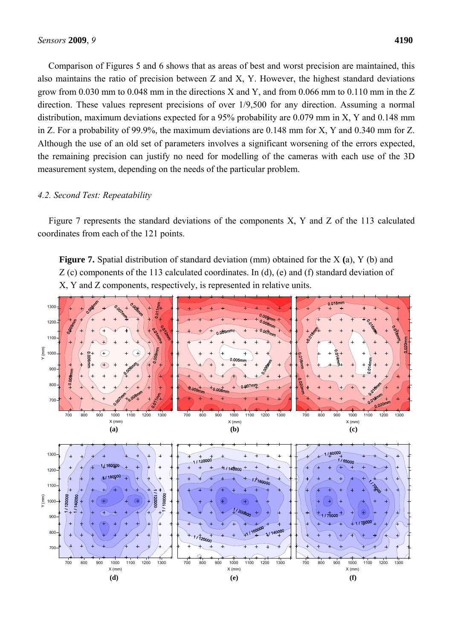Comparison of Figures 5 and 6 shows that as areas of best and worst precision are maintained, this also maintains the ratio of precision between Z and X, Y. However, the highest standard deviations grow from 0.030 mm to 0.048 mm in the directions X and Y, and from 0.066 mm to 0.110 mm in the Z direction. These values represent precisions of over 1/9,500 for any direction. Assuming a normal distribution, maximum deviations expected for a 95% probability are 0.079 mm in X, Y and 0.148 mm in Z. For a probability of 99.9%, the maximum deviations are 0.148 mm for X, Y and 0.340 mm for Z. Although the use of an old set of parameters involves a significant worsening of the errors expected, the remaining precision can justify no need for modelling of the cameras with each use of the 3D measurement system, depending on the needs of the particular problem.

# *4.2. Second Test: Repeatability*

Figure 7 represents the standard deviations of the components X, Y and Z of the 113 calculated coordinates from each of the 121 points.

**Figure 7.** Spatial distribution of standard deviation (mm) obtained for the X **(**a), Y (b) and Z (c) components of the 113 calculated coordinates. In (d), (e) and (f) standard deviation of X, Y and Z components, respectively, is represented in relative units.

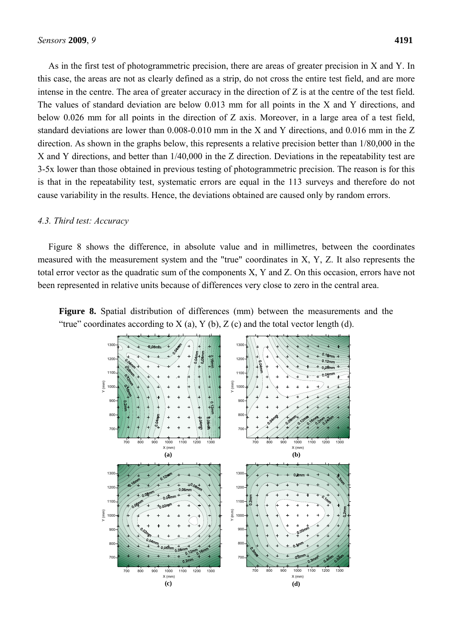As in the first test of photogrammetric precision, there are areas of greater precision in X and Y. In this case, the areas are not as clearly defined as a strip, do not cross the entire test field, and are more intense in the centre. The area of greater accuracy in the direction of Z is at the centre of the test field. The values of standard deviation are below 0.013 mm for all points in the X and Y directions, and below 0.026 mm for all points in the direction of Z axis. Moreover, in a large area of a test field, standard deviations are lower than 0.008-0.010 mm in the X and Y directions, and 0.016 mm in the Z direction. As shown in the graphs below, this represents a relative precision better than 1/80,000 in the X and Y directions, and better than 1/40,000 in the Z direction. Deviations in the repeatability test are 3-5x lower than those obtained in previous testing of photogrammetric precision. The reason is for this is that in the repeatability test, systematic errors are equal in the 113 surveys and therefore do not cause variability in the results. Hence, the deviations obtained are caused only by random errors.

# *4.3. Third test: Accuracy*

Figure 8 shows the difference, in absolute value and in millimetres, between the coordinates measured with the measurement system and the "true" coordinates in X, Y, Z. It also represents the total error vector as the quadratic sum of the components X, Y and Z. On this occasion, errors have not been represented in relative units because of differences very close to zero in the central area.



**Figure 8.** Spatial distribution of differences (mm) between the measurements and the "true" coordinates according to  $X$  (a),  $Y$  (b),  $Z$  (c) and the total vector length (d).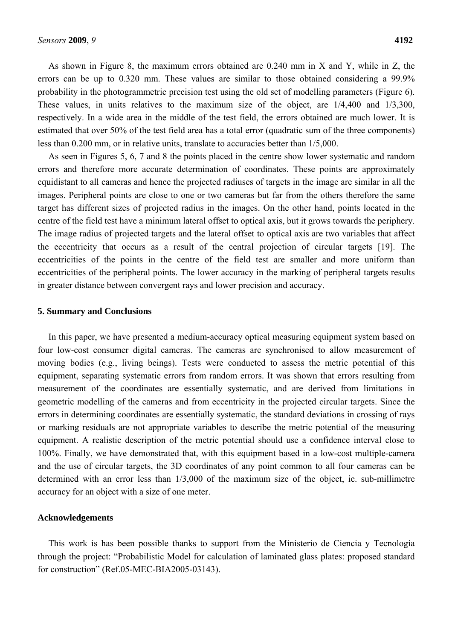As shown in Figure 8, the maximum errors obtained are 0.240 mm in X and Y, while in Z, the errors can be up to 0.320 mm. These values are similar to those obtained considering a 99.9% probability in the photogrammetric precision test using the old set of modelling parameters (Figure 6). These values, in units relatives to the maximum size of the object, are 1/4,400 and 1/3,300, respectively. In a wide area in the middle of the test field, the errors obtained are much lower. It is estimated that over 50% of the test field area has a total error (quadratic sum of the three components) less than 0.200 mm, or in relative units, translate to accuracies better than 1/5,000.

As seen in Figures 5, 6, 7 and 8 the points placed in the centre show lower systematic and random errors and therefore more accurate determination of coordinates. These points are approximately equidistant to all cameras and hence the projected radiuses of targets in the image are similar in all the images. Peripheral points are close to one or two cameras but far from the others therefore the same target has different sizes of projected radius in the images. On the other hand, points located in the centre of the field test have a minimum lateral offset to optical axis, but it grows towards the periphery. The image radius of projected targets and the lateral offset to optical axis are two variables that affect the eccentricity that occurs as a result of the central projection of circular targets [19]. The eccentricities of the points in the centre of the field test are smaller and more uniform than eccentricities of the peripheral points. The lower accuracy in the marking of peripheral targets results in greater distance between convergent rays and lower precision and accuracy.

#### **5. Summary and Conclusions**

In this paper, we have presented a medium-accuracy optical measuring equipment system based on four low-cost consumer digital cameras. The cameras are synchronised to allow measurement of moving bodies (e.g., living beings). Tests were conducted to assess the metric potential of this equipment, separating systematic errors from random errors. It was shown that errors resulting from measurement of the coordinates are essentially systematic, and are derived from limitations in geometric modelling of the cameras and from eccentricity in the projected circular targets. Since the errors in determining coordinates are essentially systematic, the standard deviations in crossing of rays or marking residuals are not appropriate variables to describe the metric potential of the measuring equipment. A realistic description of the metric potential should use a confidence interval close to 100%. Finally, we have demonstrated that, with this equipment based in a low-cost multiple-camera and the use of circular targets, the 3D coordinates of any point common to all four cameras can be determined with an error less than 1/3,000 of the maximum size of the object, ie. sub-millimetre accuracy for an object with a size of one meter.

# **Acknowledgements**

This work is has been possible thanks to support from the Ministerio de Ciencia y Tecnología through the project: "Probabilistic Model for calculation of laminated glass plates: proposed standard for construction" (Ref.05-MEC-BIA2005-03143).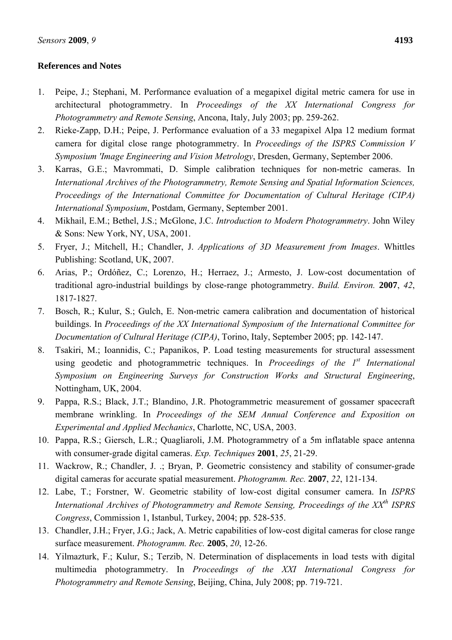# **References and Notes**

- 1. Peipe, J.; Stephani, M. Performance evaluation of a megapixel digital metric camera for use in architectural photogrammetry. In *Proceedings of the XX International Congress for Photogrammetry and Remote Sensing*, Ancona, Italy, July 2003; pp. 259-262.
- 2. Rieke-Zapp, D.H.; Peipe, J. Performance evaluation of a 33 megapixel Alpa 12 medium format camera for digital close range photogrammetry. In *Proceedings of the ISPRS Commission V Symposium 'Image Engineering and Vision Metrology*, Dresden, Germany, September 2006.
- 3. Karras, G.E.; Mavrommati, D. Simple calibration techniques for non-metric cameras. In *International Archives of the Photogrammetry, Remote Sensing and Spatial Information Sciences, Proceedings of the International Committee for Documentation of Cultural Heritage (CIPA) International Symposium*, Postdam, Germany, September 2001.
- 4. Mikhail, E.M.; Bethel, J.S.; McGlone, J.C. *Introduction to Modern Photogrammetry*. John Wiley & Sons: New York, NY, USA, 2001.
- 5. Fryer, J.; Mitchell, H.; Chandler, J. *Applications of 3D Measurement from Images*. Whittles Publishing: Scotland, UK, 2007.
- 6. Arias, P.; Ordóñez, C.; Lorenzo, H.; Herraez, J.; Armesto, J. Low-cost documentation of traditional agro-industrial buildings by close-range photogrammetry. *Build. Environ.* **2007**, *42*, 1817-1827.
- 7. Bosch, R.; Kulur, S.; Gulch, E. Non-metric camera calibration and documentation of historical buildings. In *Proceedings of the XX International Symposium of the International Committee for Documentation of Cultural Heritage (CIPA)*, Torino, Italy, September 2005; pp. 142-147.
- 8. Tsakiri, M.; Ioannidis, C.; Papanikos, P. Load testing measurements for structural assessment using geodetic and photogrammetric techniques. In *Proceedings of the 1<sup>st</sup>* International *Symposium on Engineering Surveys for Construction Works and Structural Engineering*, Nottingham, UK, 2004.
- 9. Pappa, R.S.; Black, J.T.; Blandino, J.R. Photogrammetric measurement of gossamer spacecraft membrane wrinkling. In *Proceedings of the SEM Annual Conference and Exposition on Experimental and Applied Mechanics*, Charlotte, NC, USA, 2003.
- 10. Pappa, R.S.; Giersch, L.R.; Quagliaroli, J.M. Photogrammetry of a 5m inflatable space antenna with consumer-grade digital cameras. *Exp. Techniques* **2001**, *25*, 21-29.
- 11. Wackrow, R.; Chandler, J. .; Bryan, P. Geometric consistency and stability of consumer-grade digital cameras for accurate spatial measurement. *Photogramm. Rec.* **2007**, *22*, 121-134.
- 12. Labe, T.; Forstner, W. Geometric stability of low-cost digital consumer camera. In *ISPRS International Archives of Photogrammetry and Remote Sensing, Proceedings of the XXth ISPRS Congress*, Commission 1, Istanbul, Turkey, 2004; pp. 528-535.
- 13. Chandler, J.H.; Fryer, J.G.; Jack, A. Metric capabilities of low-cost digital cameras for close range surface measurement. *Photogramm. Rec.* **2005**, *20*, 12-26.
- 14. Yilmazturk, F.; Kulur, S.; Terzib, N. Determination of displacements in load tests with digital multimedia photogrammetry. In *Proceedings of the XXI International Congress for Photogrammetry and Remote Sensing*, Beijing, China, July 2008; pp. 719-721.